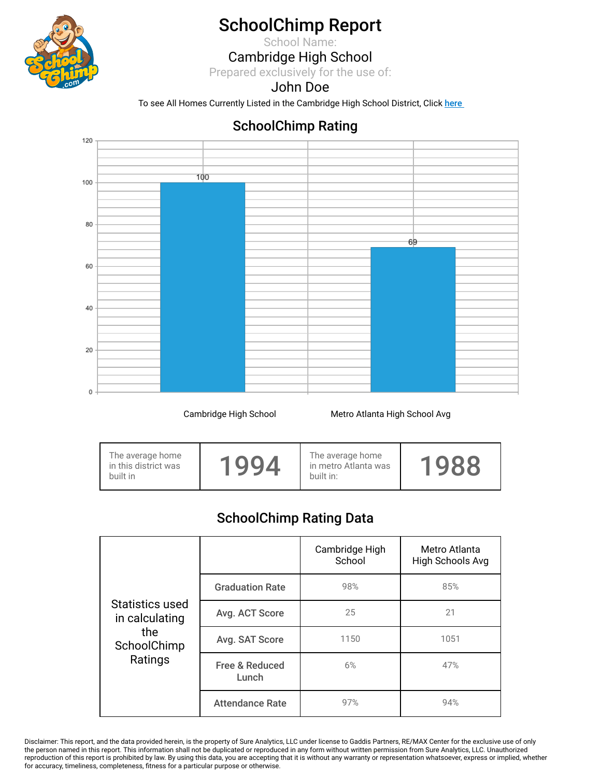

# SchoolChimp Report

School Name:

### Cambridge High School

Prepared exclusively for the use of:

#### John Doe

To see All Homes Currently Listed in the Cambridge High School District, Click here

### SchoolChimp Rating



Cambridge High School **Metro Atlanta High School Avg** 

|  | The average home<br>in this district was<br>built in | 1004 | The average home<br>in metro Atlanta was<br>built in: | $\mathbf{\Omega}$ |
|--|------------------------------------------------------|------|-------------------------------------------------------|-------------------|
|--|------------------------------------------------------|------|-------------------------------------------------------|-------------------|

## SchoolChimp Rating Data

|                                   |                                    | Cambridge High<br>School | Metro Atlanta<br>High Schools Avg |
|-----------------------------------|------------------------------------|--------------------------|-----------------------------------|
|                                   | <b>Graduation Rate</b>             | 98%                      | 85%                               |
| Statistics used<br>in calculating | Avg. ACT Score                     | 25                       | 21                                |
| the<br>SchoolChimp                | Avg. SAT Score                     | 1150                     | 1051                              |
| Ratings                           | <b>Free &amp; Reduced</b><br>Lunch | 6%                       | 47%                               |
|                                   | <b>Attendance Rate</b>             | 97%                      | 94%                               |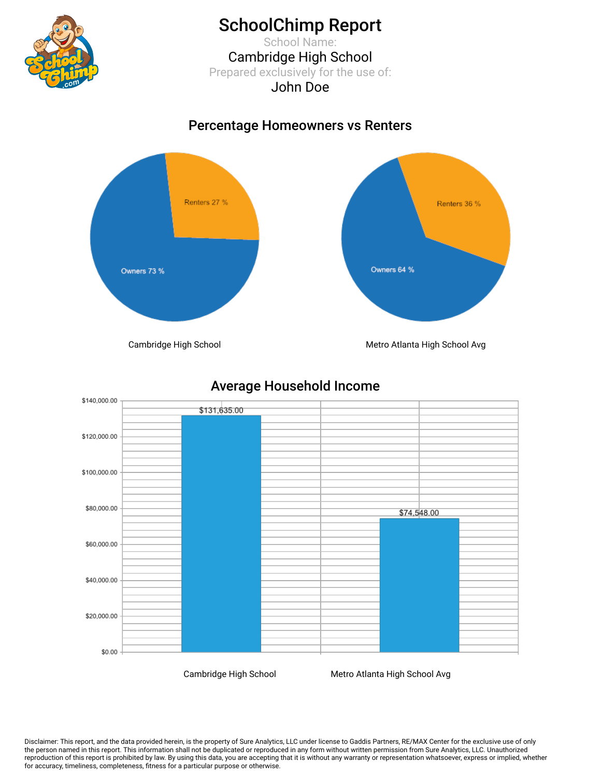

## SchoolChimp Report

School Name: Cambridge High School Prepared exclusively for the use of: John Doe

### Percentage Homeowners vs Renters



Average Household Income



Cambridge High School Metro Atlanta High School Avg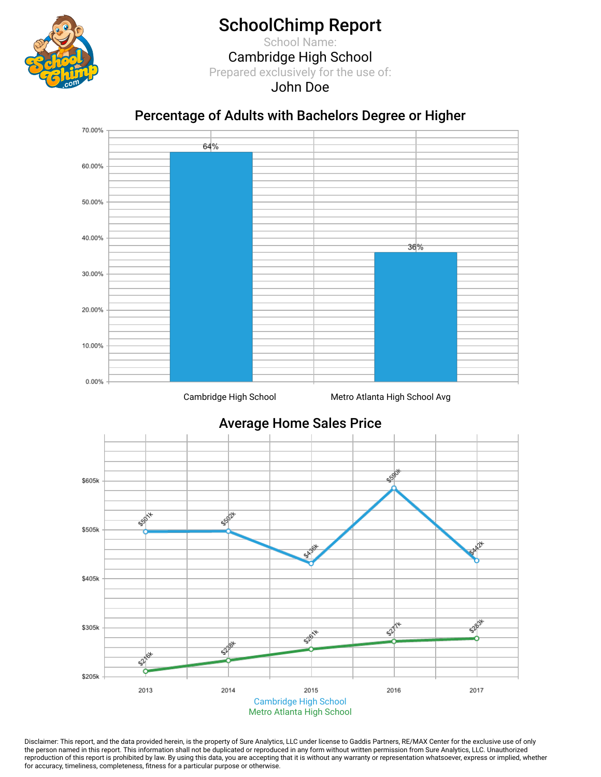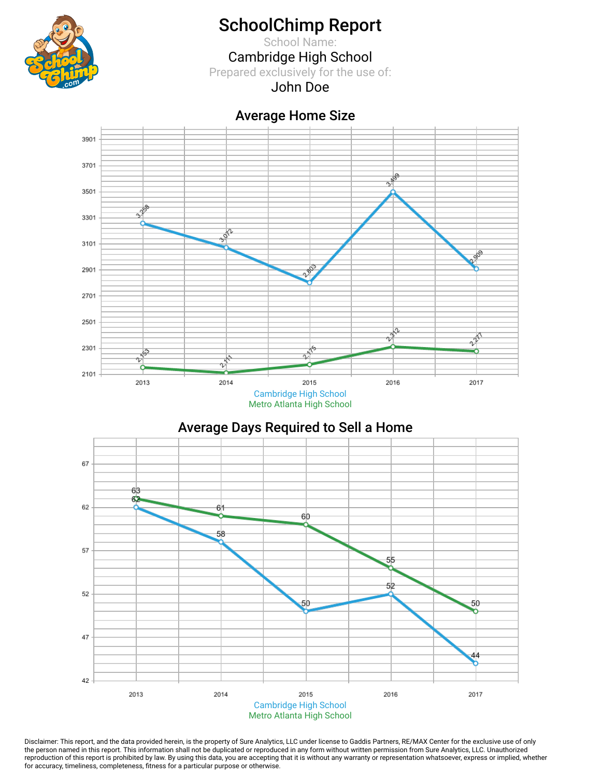